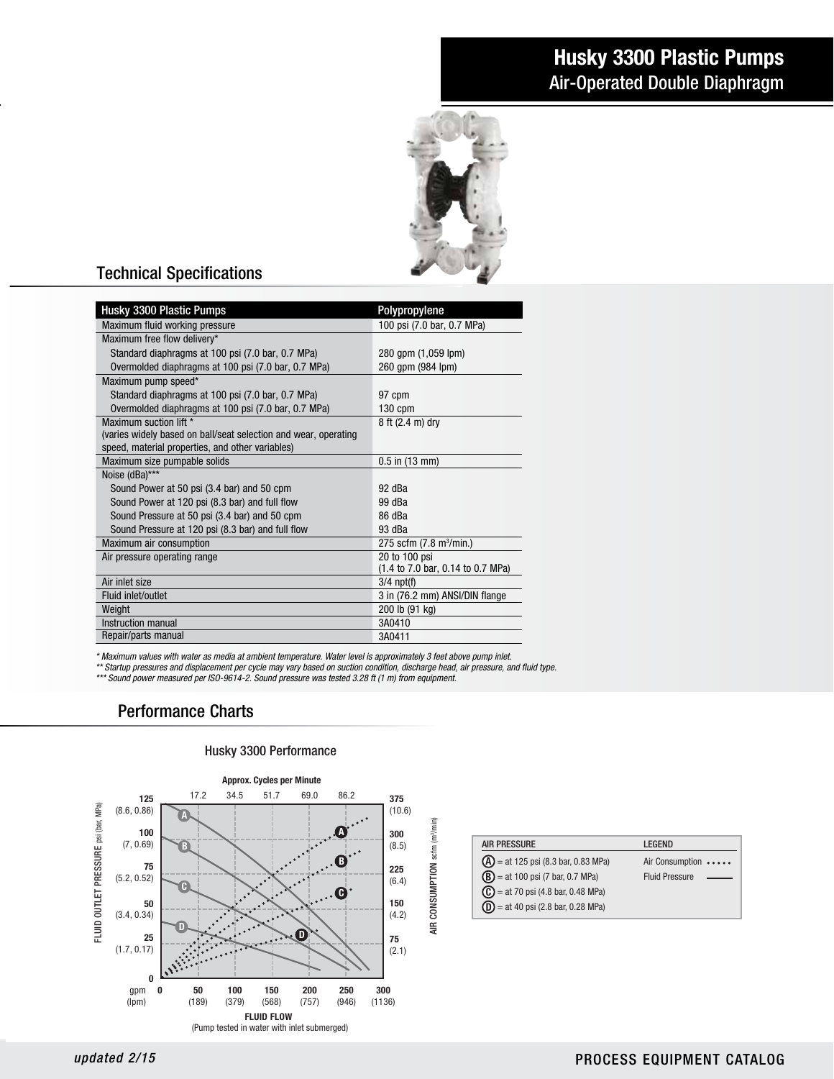# Husky 3300 Plastic Pumps Air-Operated Double Diaphragm



## Technical Specifications

| Husky 3300 Plastic Pumps                                                                                                                                                                                                                                                                                                                         | Polypropylene                       |  |
|--------------------------------------------------------------------------------------------------------------------------------------------------------------------------------------------------------------------------------------------------------------------------------------------------------------------------------------------------|-------------------------------------|--|
| Maximum fluid working pressure                                                                                                                                                                                                                                                                                                                   | 100 psi (7.0 bar, 0.7 MPa)          |  |
| Maximum free flow delivery*                                                                                                                                                                                                                                                                                                                      |                                     |  |
| Standard diaphragms at 100 psi (7.0 bar, 0.7 MPa)                                                                                                                                                                                                                                                                                                | 280 gpm (1,059 lpm)                 |  |
| Overmolded diaphragms at 100 psi (7.0 bar, 0.7 MPa)                                                                                                                                                                                                                                                                                              | 260 qpm (984 lpm)                   |  |
| Maximum pump speed*                                                                                                                                                                                                                                                                                                                              |                                     |  |
| Standard diaphragms at 100 psi (7.0 bar, 0.7 MPa)                                                                                                                                                                                                                                                                                                | 97 cpm                              |  |
| Overmolded diaphragms at 100 psi (7.0 bar, 0.7 MPa)                                                                                                                                                                                                                                                                                              | $130$ cpm                           |  |
| Maximum suction lift *                                                                                                                                                                                                                                                                                                                           | 8 ft (2.4 m) dry                    |  |
| (varies widely based on ball/seat selection and wear, operating                                                                                                                                                                                                                                                                                  |                                     |  |
| speed, material properties, and other variables)                                                                                                                                                                                                                                                                                                 |                                     |  |
| Maximum size pumpable solids                                                                                                                                                                                                                                                                                                                     | $0.5$ in $(13$ mm)                  |  |
| Noise (dBa)***                                                                                                                                                                                                                                                                                                                                   |                                     |  |
| Sound Power at 50 psi (3.4 bar) and 50 cpm                                                                                                                                                                                                                                                                                                       | 92 dBa                              |  |
| Sound Power at 120 psi (8.3 bar) and full flow                                                                                                                                                                                                                                                                                                   | 99 dBa                              |  |
| Sound Pressure at 50 psi (3.4 bar) and 50 cpm                                                                                                                                                                                                                                                                                                    | 86 dBa                              |  |
| Sound Pressure at 120 psi (8.3 bar) and full flow                                                                                                                                                                                                                                                                                                | 93 dBa                              |  |
| Maximum air consumption                                                                                                                                                                                                                                                                                                                          | 275 scfm (7.8 m <sup>3</sup> /min.) |  |
| Air pressure operating range                                                                                                                                                                                                                                                                                                                     | 20 to 100 psi                       |  |
|                                                                                                                                                                                                                                                                                                                                                  | (1.4 to 7.0 bar, 0.14 to 0.7 MPa)   |  |
| Air inlet size                                                                                                                                                                                                                                                                                                                                   | $3/4$ npt(f)                        |  |
| Fluid inlet/outlet                                                                                                                                                                                                                                                                                                                               | 3 in (76.2 mm) ANSI/DIN flange      |  |
| Weight                                                                                                                                                                                                                                                                                                                                           | 200 lb (91 kg)                      |  |
| Instruction manual                                                                                                                                                                                                                                                                                                                               | 3A0410                              |  |
| Repair/parts manual                                                                                                                                                                                                                                                                                                                              | 3A0411                              |  |
| * Maximum values with water as media at ambient temperature. Water level is approximately 3 feet above pump inlet.<br>** Startup pressures and displacement per cycle may vary based on suction condition, discharge head, air pressure, and<br>*** Sound power measured per ISO-9614-2. Sound pressure was tested 3.28 ft (1 m) from equipment. |                                     |  |
| <b>Performance Charts</b>                                                                                                                                                                                                                                                                                                                        |                                     |  |

*\*\* Startup pressures and displacement per cycle may vary based on suction condition, discharge head, air pressure, and fluid type.* ad, air pressure, and<br>ad, air pressure, and

## Performance Charts



### AIR PRESSURE LEGEND  $\bf{A}$  = at 125 psi (8.3 bar, 0.83 MPa) Air Consumption  $B$  = at 100 psi (7 bar, 0.7 MPa) Fluid Pressure  $\mathbf{C}$  = at 70 psi (4.8 bar, 0.48 MPa)  $D = at 40 \text{ psi}$  (2.8 bar, 0.28 MPa)

#### $5$  and the set of the set of the set of the set of the set of the set of the set of the set of the set of the set of the set of the set of the set of the set of the set of the set of the set of the set of the set of the

### PROCESS EQUIPMENT CATALOG *updated 2/15* PROCESS EQUIPMENT CATALOG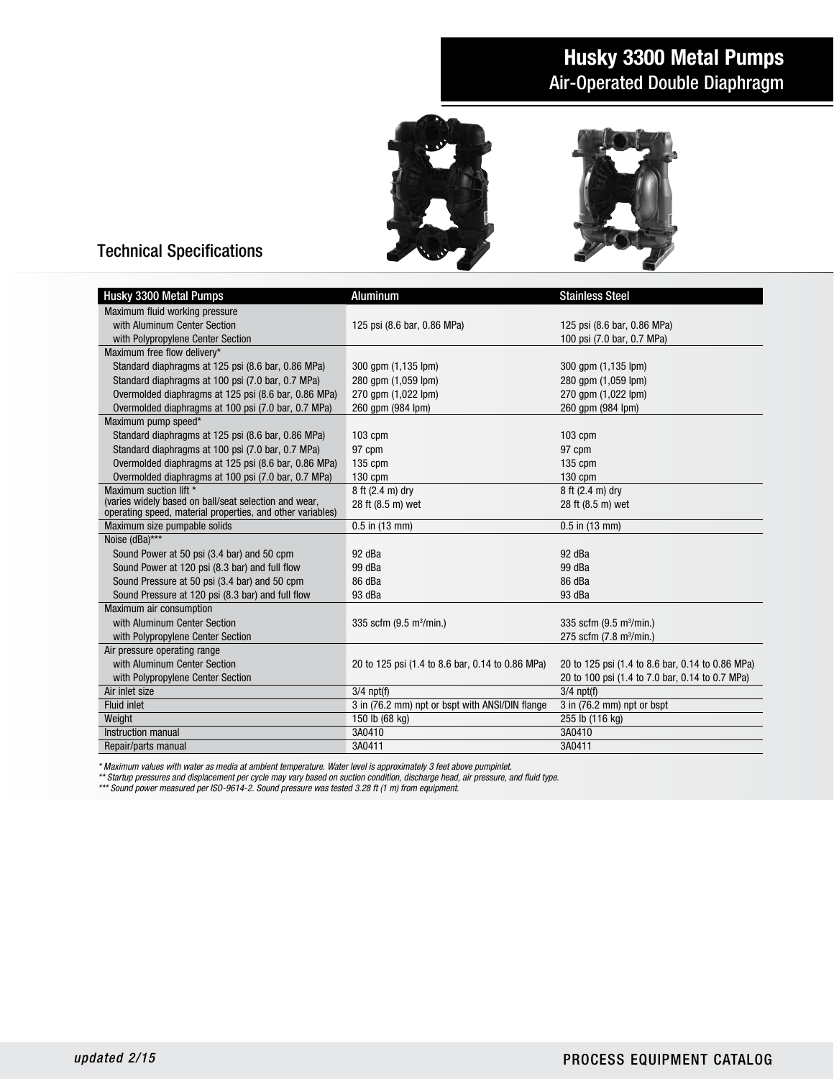## Husky 3300 Metal Pumps Air-Operated Double Diaphragm





## Technical Specifications

| Husky 3300 Metal Pumps                                     | Aluminum                                         | <b>Stainless Steel</b>                           |
|------------------------------------------------------------|--------------------------------------------------|--------------------------------------------------|
| Maximum fluid working pressure                             |                                                  |                                                  |
| with Aluminum Center Section                               | 125 psi (8.6 bar, 0.86 MPa)                      | 125 psi (8.6 bar, 0.86 MPa)                      |
| with Polypropylene Center Section                          |                                                  | 100 psi (7.0 bar, 0.7 MPa)                       |
| Maximum free flow delivery*                                |                                                  |                                                  |
| Standard diaphragms at 125 psi (8.6 bar, 0.86 MPa)         | 300 gpm (1,135 lpm)                              | 300 gpm (1,135 lpm)                              |
| Standard diaphragms at 100 psi (7.0 bar, 0.7 MPa)          | 280 gpm (1,059 lpm)                              | 280 gpm (1,059 lpm)                              |
| Overmolded diaphragms at 125 psi (8.6 bar, 0.86 MPa)       | 270 gpm (1,022 lpm)                              | 270 gpm (1,022 lpm)                              |
| Overmolded diaphragms at 100 psi (7.0 bar, 0.7 MPa)        | 260 qpm (984 lpm)                                | 260 qpm (984 lpm)                                |
| Maximum pump speed*                                        |                                                  |                                                  |
| Standard diaphragms at 125 psi (8.6 bar, 0.86 MPa)         | 103 cpm                                          | $103$ cpm                                        |
| Standard diaphragms at 100 psi (7.0 bar, 0.7 MPa)          | 97 cpm                                           | 97 cpm                                           |
| Overmolded diaphragms at 125 psi (8.6 bar, 0.86 MPa)       | 135 cpm                                          | $135$ cpm                                        |
| Overmolded diaphragms at 100 psi (7.0 bar, 0.7 MPa)        | $130$ cpm                                        | 130 cpm                                          |
| Maximum suction lift *                                     | 8 ft (2.4 m) dry                                 | 8 ft (2.4 m) dry                                 |
| (varies widely based on ball/seat selection and wear,      | 28 ft (8.5 m) wet                                | 28 ft (8.5 m) wet                                |
| operating speed, material properties, and other variables) |                                                  |                                                  |
| Maximum size pumpable solids                               | $0.5$ in $(13$ mm)                               | $0.5$ in $(13$ mm)                               |
| Noise (dBa)***                                             |                                                  |                                                  |
| Sound Power at 50 psi (3.4 bar) and 50 cpm                 | 92 dBa                                           | 92 dBa                                           |
| Sound Power at 120 psi (8.3 bar) and full flow             | 99 dBa                                           | 99 dBa                                           |
| Sound Pressure at 50 psi (3.4 bar) and 50 cpm              | 86 dBa                                           | 86 dBa                                           |
| Sound Pressure at 120 psi (8.3 bar) and full flow          | 93 dBa                                           | 93 dBa                                           |
| Maximum air consumption                                    |                                                  |                                                  |
| with Aluminum Center Section                               | 335 scfm $(9.5 \text{ m}^3/\text{min.})$         | 335 scfm $(9.5 \text{ m}^3/\text{min.})$         |
| with Polypropylene Center Section                          |                                                  | 275 scfm (7.8 m <sup>3</sup> /min.)              |
| Air pressure operating range                               |                                                  |                                                  |
| with Aluminum Center Section                               | 20 to 125 psi (1.4 to 8.6 bar, 0.14 to 0.86 MPa) | 20 to 125 psi (1.4 to 8.6 bar, 0.14 to 0.86 MPa) |
| with Polypropylene Center Section                          |                                                  | 20 to 100 psi (1.4 to 7.0 bar, 0.14 to 0.7 MPa)  |
| Air inlet size                                             | $3/4$ npt(f)                                     | $3/4$ npt(f)                                     |
| <b>Fluid inlet</b>                                         | 3 in (76.2 mm) npt or bspt with ANSI/DIN flange  | $3$ in (76.2 mm) npt or bspt                     |
| Weight                                                     | 150 lb (68 kg)                                   | 255 lb (116 kg)                                  |
| Instruction manual                                         | 3A0410                                           | 3A0410                                           |
| Repair/parts manual                                        | 3A0411                                           | 3A0411                                           |

*\* Maximum values with water as media at ambient temperature. Water level is approximately 3 feet above pumpinlet.*

*\*\* Startup pressures and displacement per cycle may vary based on suction condition, discharge head, air pressure, and fluid type.*

*\*\*\* Sound power measured per ISO-9614-2. Sound pressure was tested 3.28 ft (1 m) from equipment.*